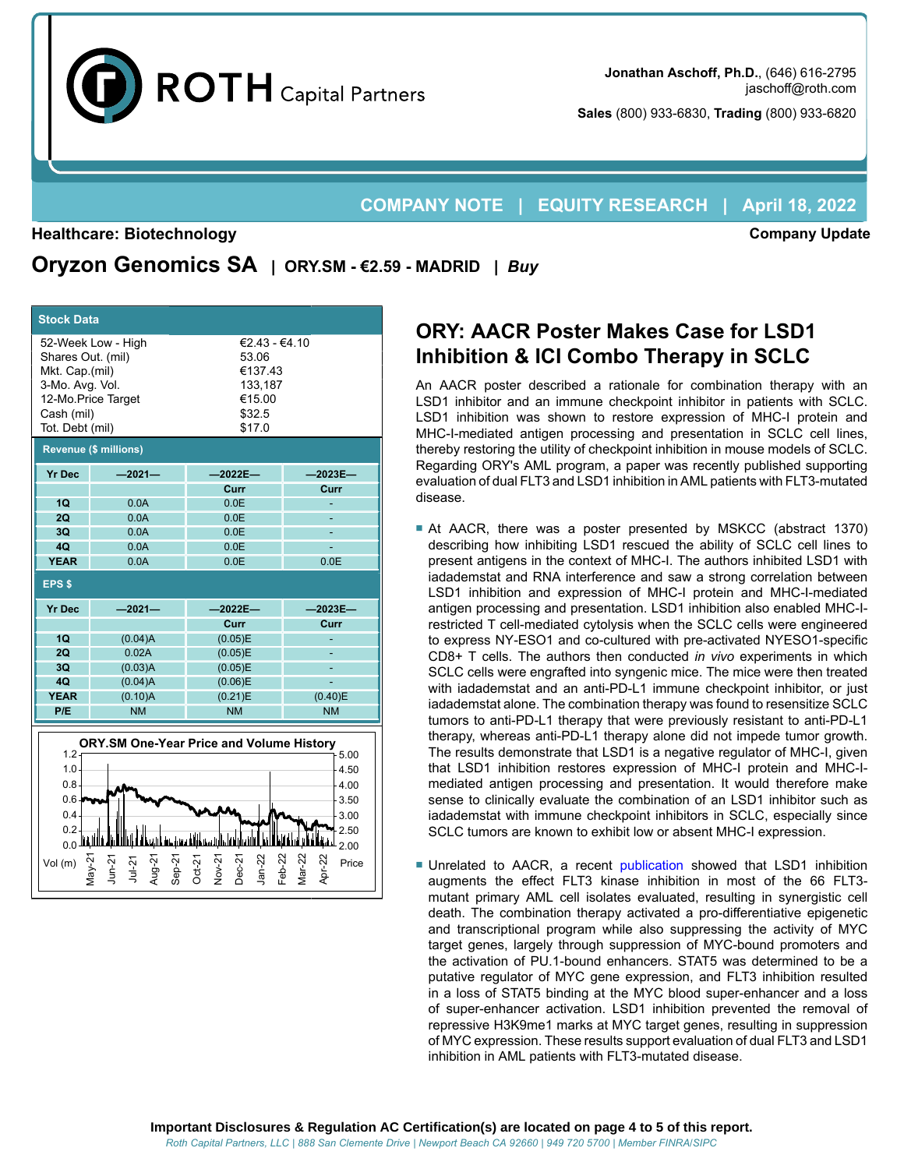

**Sales** (800) 933-6830, **Trading** (800) 933-6820

## **COMPANY NOTE | EQUITY RESEARCH | April 18, 2022**

#### **Healthcare: Biotechnology**

**Company Update**

**Oryzon Genomics SA | ORY.SM - €2.59 - MADRID |** *Buy*

| <b>Stock Data</b>                                                                       |                                          |                                                                                            |                                                                              |  |  |  |  |  |  |
|-----------------------------------------------------------------------------------------|------------------------------------------|--------------------------------------------------------------------------------------------|------------------------------------------------------------------------------|--|--|--|--|--|--|
| Shares Out. (mil)<br>Mkt. Cap.(mil)<br>3-Mo. Avg. Vol.<br>Cash (mil)<br>Tot. Debt (mil) | 52-Week Low - High<br>12-Mo.Price Target | €2.43 - €4.10<br>53.06<br>€137.43<br>133,187<br>€15.00<br>\$32.5<br>\$17.0                 |                                                                              |  |  |  |  |  |  |
| <b>Revenue (\$ millions)</b>                                                            |                                          |                                                                                            |                                                                              |  |  |  |  |  |  |
| <b>Yr Dec</b>                                                                           | $-2021-$                                 | $-2022E-$                                                                                  | $-2023E-$                                                                    |  |  |  |  |  |  |
|                                                                                         |                                          | Curr                                                                                       | Curr                                                                         |  |  |  |  |  |  |
| 1Q                                                                                      | 0.0A                                     | 0.0E                                                                                       |                                                                              |  |  |  |  |  |  |
| 2Q                                                                                      | 0.0A                                     | 0.0E                                                                                       |                                                                              |  |  |  |  |  |  |
| 3 <sub>O</sub>                                                                          | 0.0A                                     | 0.0E                                                                                       |                                                                              |  |  |  |  |  |  |
| 40<br><b>YEAR</b>                                                                       | 0.0A<br>0.0A                             | 0.0E<br>0.0E                                                                               | 0.0E                                                                         |  |  |  |  |  |  |
|                                                                                         |                                          |                                                                                            |                                                                              |  |  |  |  |  |  |
| EPS <sub>\$</sub>                                                                       |                                          |                                                                                            |                                                                              |  |  |  |  |  |  |
| <b>Yr Dec</b>                                                                           | $-2021-$                                 | $-2022E-$                                                                                  | $-2023E-$                                                                    |  |  |  |  |  |  |
|                                                                                         |                                          | Curr                                                                                       | Curr                                                                         |  |  |  |  |  |  |
|                                                                                         |                                          |                                                                                            |                                                                              |  |  |  |  |  |  |
| 1Q                                                                                      | (0.04)A                                  | (0.05)E                                                                                    |                                                                              |  |  |  |  |  |  |
| 2Q                                                                                      | 0.02A                                    | (0.05)E                                                                                    |                                                                              |  |  |  |  |  |  |
| 3 <sub>O</sub>                                                                          | (0.03)A                                  | (0.05)E                                                                                    |                                                                              |  |  |  |  |  |  |
| 4Q                                                                                      | (0.04)A                                  | (0.06)E                                                                                    | L,                                                                           |  |  |  |  |  |  |
| <b>YEAR</b>                                                                             | (0.10)A                                  | (0.21)E                                                                                    | (0.40)E                                                                      |  |  |  |  |  |  |
| P/E                                                                                     | <b>NM</b>                                | <b>NM</b>                                                                                  | <b>NM</b>                                                                    |  |  |  |  |  |  |
| 1.2 <sub>1</sub><br>1.0.<br>$0.8 -$<br>$0.6 -$<br>0.4<br>0.2<br>0.0<br>Vol (m)          | lun-21<br>$ug-21$<br>$u-2$               | ORY.SM One-Year Price and Volume History<br>lan-22<br>$eb-22$<br>Nov-2<br>Dec-2'<br>Oct-21 | 5.00<br>4.50<br>4.00<br>3.50<br>3.00<br>2.50<br>$-2.00$<br>$lar-22$<br>Price |  |  |  |  |  |  |

# **ORY: AACR Poster Makes Case for LSD1 Inhibition & ICI Combo Therapy in SCLC**

An AACR poster described a rationale for combination therapy with an LSD1 inhibitor and an immune checkpoint inhibitor in patients with SCLC. LSD1 inhibition was shown to restore expression of MHC-I protein and MHC-I-mediated antigen processing and presentation in SCLC cell lines, thereby restoring the utility of checkpoint inhibition in mouse models of SCLC. Regarding ORY's AML program, a paper was recently published supporting evaluation of dual FLT3 and LSD1 inhibition in AML patients with FLT3-mutated disease.

- At AACR, there was a poster presented by MSKCC (abstract 1370) describing how inhibiting LSD1 rescued the ability of SCLC cell lines to present antigens in the context of MHC-I. The authors inhibited LSD1 with iadademstat and RNA interference and saw a strong correlation between LSD1 inhibition and expression of MHC-I protein and MHC-I-mediated antigen processing and presentation. LSD1 inhibition also enabled MHC-Irestricted T cell-mediated cytolysis when the SCLC cells were engineered to express NY-ESO1 and co-cultured with pre-activated NYESO1-specific CD8+ T cells. The authors then conducted *in vivo* experiments in which SCLC cells were engrafted into syngenic mice. The mice were then treated with iadademstat and an anti-PD-L1 immune checkpoint inhibitor, or just iadademstat alone. The combination therapy was found to resensitize SCLC tumors to anti-PD-L1 therapy that were previously resistant to anti-PD-L1 therapy, whereas anti-PD-L1 therapy alone did not impede tumor growth. The results demonstrate that LSD1 is a negative regulator of MHC-I, given that LSD1 inhibition restores expression of MHC-I protein and MHC-Imediated antigen processing and presentation. It would therefore make sense to clinically evaluate the combination of an LSD1 inhibitor such as iadademstat with immune checkpoint inhibitors in SCLC, especially since SCLC tumors are known to exhibit low or absent MHC-I expression.
- Unrelated to AACR, a recent [publication](https://doi.org/10.1101/2022.01.17.476469) showed that LSD1 inhibition augments the effect FLT3 kinase inhibition in most of the 66 FLT3 mutant primary AML cell isolates evaluated, resulting in synergistic cell death. The combination therapy activated a pro-differentiative epigenetic and transcriptional program while also suppressing the activity of MYC target genes, largely through suppression of MYC-bound promoters and the activation of PU.1-bound enhancers. STAT5 was determined to be a putative regulator of MYC gene expression, and FLT3 inhibition resulted in a loss of STAT5 binding at the MYC blood super-enhancer and a loss of super-enhancer activation. LSD1 inhibition prevented the removal of repressive H3K9me1 marks at MYC target genes, resulting in suppression of MYC expression. These results support evaluation of dual FLT3 and LSD1 inhibition in AML patients with FLT3-mutated disease.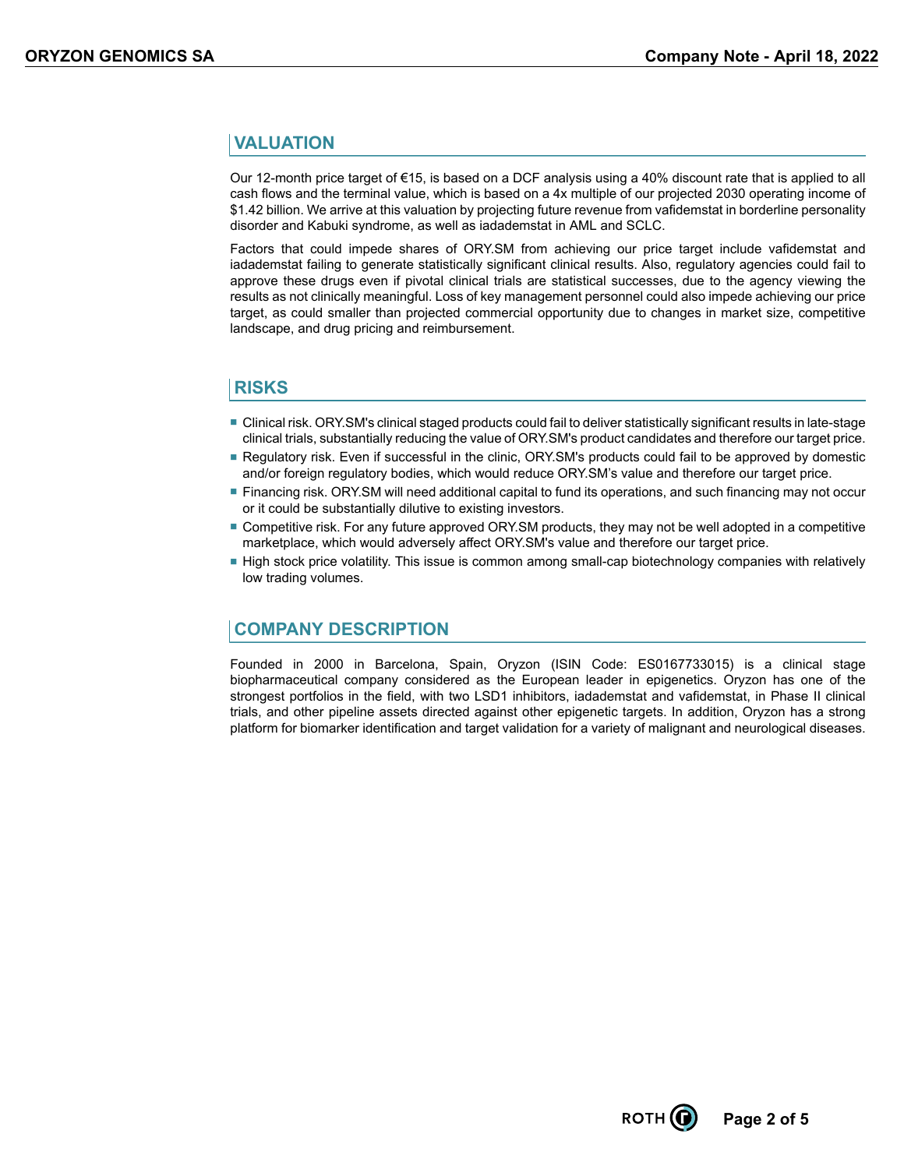## **VALUATION**

Our 12-month price target of €15, is based on a DCF analysis using a 40% discount rate that is applied to all cash flows and the terminal value, which is based on a 4x multiple of our projected 2030 operating income of \$1.42 billion. We arrive at this valuation by projecting future revenue from vafidemstat in borderline personality disorder and Kabuki syndrome, as well as iadademstat in AML and SCLC.

Factors that could impede shares of ORY.SM from achieving our price target include vafidemstat and iadademstat failing to generate statistically significant clinical results. Also, regulatory agencies could fail to approve these drugs even if pivotal clinical trials are statistical successes, due to the agency viewing the results as not clinically meaningful. Loss of key management personnel could also impede achieving our price target, as could smaller than projected commercial opportunity due to changes in market size, competitive landscape, and drug pricing and reimbursement.

### **RISKS**

- Clinical risk. ORY.SM's clinical staged products could fail to deliver statistically significant results in late-stage clinical trials, substantially reducing the value of ORY.SM's product candidates and therefore our target price.
- Regulatory risk. Even if successful in the clinic, ORY. SM's products could fail to be approved by domestic and/or foreign regulatory bodies, which would reduce ORY.SM's value and therefore our target price.
- Financing risk. ORY.SM will need additional capital to fund its operations, and such financing may not occur or it could be substantially dilutive to existing investors.
- Competitive risk. For any future approved ORY.SM products, they may not be well adopted in a competitive marketplace, which would adversely affect ORY.SM's value and therefore our target price.
- High stock price volatility. This issue is common among small-cap biotechnology companies with relatively low trading volumes.

# **COMPANY DESCRIPTION**

Founded in 2000 in Barcelona, Spain, Oryzon (ISIN Code: ES0167733015) is a clinical stage biopharmaceutical company considered as the European leader in epigenetics. Oryzon has one of the strongest portfolios in the field, with two LSD1 inhibitors, iadademstat and vafidemstat, in Phase II clinical trials, and other pipeline assets directed against other epigenetic targets. In addition, Oryzon has a strong platform for biomarker identification and target validation for a variety of malignant and neurological diseases.

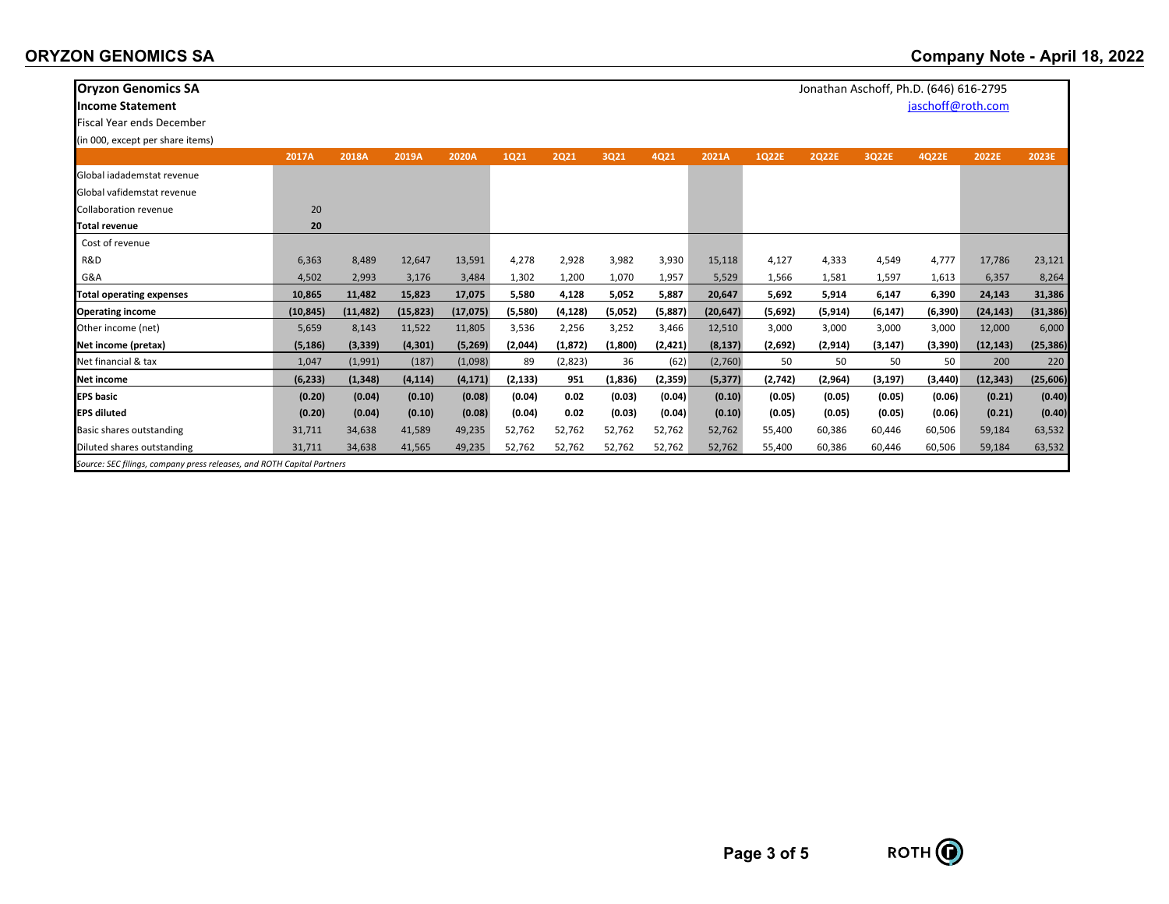| <b>Oryzon Genomics SA</b>                                              |           |           |           |           |             |          |         |          |           |         | Jonathan Aschoff, Ph.D. (646) 616-2795 |          |                   |           |           |
|------------------------------------------------------------------------|-----------|-----------|-----------|-----------|-------------|----------|---------|----------|-----------|---------|----------------------------------------|----------|-------------------|-----------|-----------|
| <b>Income Statement</b>                                                |           |           |           |           |             |          |         |          |           |         |                                        |          | jaschoff@roth.com |           |           |
| <b>Fiscal Year ends December</b>                                       |           |           |           |           |             |          |         |          |           |         |                                        |          |                   |           |           |
| (in 000, except per share items)                                       |           |           |           |           |             |          |         |          |           |         |                                        |          |                   |           |           |
|                                                                        | 2017A     | 2018A     | 2019A     | 2020A     | <b>1Q21</b> | 2021     | 3Q21    | 4Q21     | 2021A     | 1Q22E   | <b>2Q22E</b>                           | 3Q22E    | 4Q22E             | 2022E     | 2023E     |
| Global jadademstat revenue                                             |           |           |           |           |             |          |         |          |           |         |                                        |          |                   |           |           |
| Global vafidemstat revenue                                             |           |           |           |           |             |          |         |          |           |         |                                        |          |                   |           |           |
| <b>Collaboration revenue</b>                                           | 20        |           |           |           |             |          |         |          |           |         |                                        |          |                   |           |           |
| <b>Total revenue</b>                                                   | 20        |           |           |           |             |          |         |          |           |         |                                        |          |                   |           |           |
| Cost of revenue                                                        |           |           |           |           |             |          |         |          |           |         |                                        |          |                   |           |           |
| R&D                                                                    | 6,363     | 8,489     | 12,647    | 13,591    | 4,278       | 2,928    | 3,982   | 3,930    | 15,118    | 4,127   | 4,333                                  | 4,549    | 4,777             | 17,786    | 23,121    |
| G&A                                                                    | 4,502     | 2,993     | 3,176     | 3,484     | 1,302       | 1,200    | 1,070   | 1,957    | 5,529     | 1,566   | 1,581                                  | 1,597    | 1,613             | 6,357     | 8,264     |
| <b>Total operating expenses</b>                                        | 10,865    | 11,482    | 15,823    | 17,075    | 5,580       | 4,128    | 5,052   | 5,887    | 20,647    | 5,692   | 5,914                                  | 6,147    | 6,390             | 24,143    | 31,386    |
| <b>Operating income</b>                                                | (10, 845) | (11, 482) | (15, 823) | (17, 075) | (5,580)     | (4, 128) | (5,052) | (5,887)  | (20, 647) | (5,692) | (5, 914)                               | (6, 147) | (6, 390)          | (24, 143) | (31, 386) |
| Other income (net)                                                     | 5,659     | 8,143     | 11,522    | 11,805    | 3,536       | 2,256    | 3,252   | 3,466    | 12,510    | 3,000   | 3,000                                  | 3,000    | 3,000             | 12,000    | 6,000     |
| Net income (pretax)                                                    | (5, 186)  | (3, 339)  | (4, 301)  | (5,269)   | (2,044)     | (1, 872) | (1,800) | (2, 421) | (8, 137)  | (2,692) | (2, 914)                               | (3, 147) | (3,390)           | (12, 143) | (25, 386) |
| Net financial & tax                                                    | 1,047     | (1,991)   | (187)     | (1,098)   | 89          | (2,823)  | 36      | (62)     | (2,760)   | 50      | 50                                     | 50       | 50                | 200       | 220       |
| Net income                                                             | (6, 233)  | (1, 348)  | (4, 114)  | (4, 171)  | (2, 133)    | 951      | (1,836) | (2,359)  | (5, 377)  | (2,742) | (2,964)                                | (3, 197) | (3, 440)          | (12, 343) | (25, 606) |
| <b>EPS</b> basic                                                       | (0.20)    | (0.04)    | (0.10)    | (0.08)    | (0.04)      | 0.02     | (0.03)  | (0.04)   | (0.10)    | (0.05)  | (0.05)                                 | (0.05)   | (0.06)            | (0.21)    | (0.40)    |
| <b>EPS diluted</b>                                                     | (0.20)    | (0.04)    | (0.10)    | (0.08)    | (0.04)      | 0.02     | (0.03)  | (0.04)   | (0.10)    | (0.05)  | (0.05)                                 | (0.05)   | (0.06)            | (0.21)    | (0.40)    |
| Basic shares outstanding                                               | 31,711    | 34,638    | 41,589    | 49,235    | 52,762      | 52,762   | 52,762  | 52,762   | 52,762    | 55,400  | 60,386                                 | 60,446   | 60,506            | 59,184    | 63,532    |
| Diluted shares outstanding                                             | 31,711    | 34,638    | 41,565    | 49,235    | 52,762      | 52,762   | 52,762  | 52,762   | 52,762    | 55,400  | 60,386                                 | 60,446   | 60,506            | 59,184    | 63,532    |
| Source: SEC filings, company press releases, and ROTH Capital Partners |           |           |           |           |             |          |         |          |           |         |                                        |          |                   |           |           |

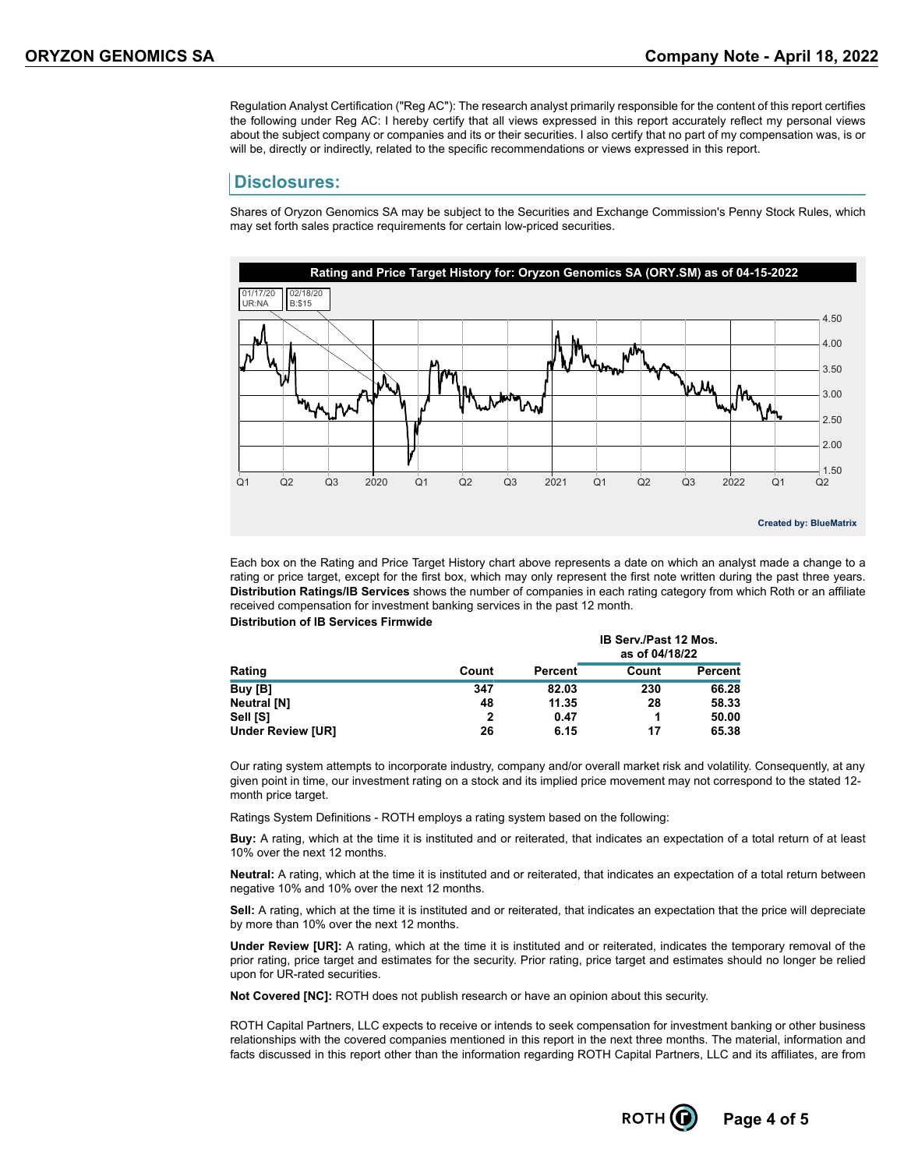Regulation Analyst Certification ("Reg AC"): The research analyst primarily responsible for the content of this report certifies the following under Reg AC: I hereby certify that all views expressed in this report accurately reflect my personal views about the subject company or companies and its or their securities. I also certify that no part of my compensation was, is or will be, directly or indirectly, related to the specific recommendations or views expressed in this report.

#### **Disclosures:**

Shares of Oryzon Genomics SA may be subject to the Securities and Exchange Commission's Penny Stock Rules, which may set forth sales practice requirements for certain low-priced securities.



Each box on the Rating and Price Target History chart above represents a date on which an analyst made a change to a rating or price target, except for the first box, which may only represent the first note written during the past three years. **Distribution Ratings/IB Services** shows the number of companies in each rating category from which Roth or an affiliate received compensation for investment banking services in the past 12 month. **Distribution of IB Services Firmwide**

|                          |       |         | <b>IB Serv./Past 12 Mos.</b><br>as of 04/18/22 |                |  |  |
|--------------------------|-------|---------|------------------------------------------------|----------------|--|--|
| Rating                   | Count | Percent | Count                                          | <b>Percent</b> |  |  |
| Buy [B]                  | 347   | 82.03   | 230                                            | 66.28          |  |  |
| Neutral [N]              | 48    | 11.35   | 28                                             | 58.33          |  |  |
| Sell [S]                 | 2     | 0.47    |                                                | 50.00          |  |  |
| <b>Under Review [UR]</b> | 26    | 6.15    | 17                                             | 65.38          |  |  |

Our rating system attempts to incorporate industry, company and/or overall market risk and volatility. Consequently, at any given point in time, our investment rating on a stock and its implied price movement may not correspond to the stated 12 month price target.

Ratings System Definitions - ROTH employs a rating system based on the following:

**Buy:** A rating, which at the time it is instituted and or reiterated, that indicates an expectation of a total return of at least 10% over the next 12 months.

**Neutral:** A rating, which at the time it is instituted and or reiterated, that indicates an expectation of a total return between negative 10% and 10% over the next 12 months.

**Sell:** A rating, which at the time it is instituted and or reiterated, that indicates an expectation that the price will depreciate by more than 10% over the next 12 months.

**Under Review [UR]:** A rating, which at the time it is instituted and or reiterated, indicates the temporary removal of the prior rating, price target and estimates for the security. Prior rating, price target and estimates should no longer be relied upon for UR-rated securities.

**Not Covered [NC]:** ROTH does not publish research or have an opinion about this security.

ROTH Capital Partners, LLC expects to receive or intends to seek compensation for investment banking or other business relationships with the covered companies mentioned in this report in the next three months. The material, information and facts discussed in this report other than the information regarding ROTH Capital Partners, LLC and its affiliates, are from